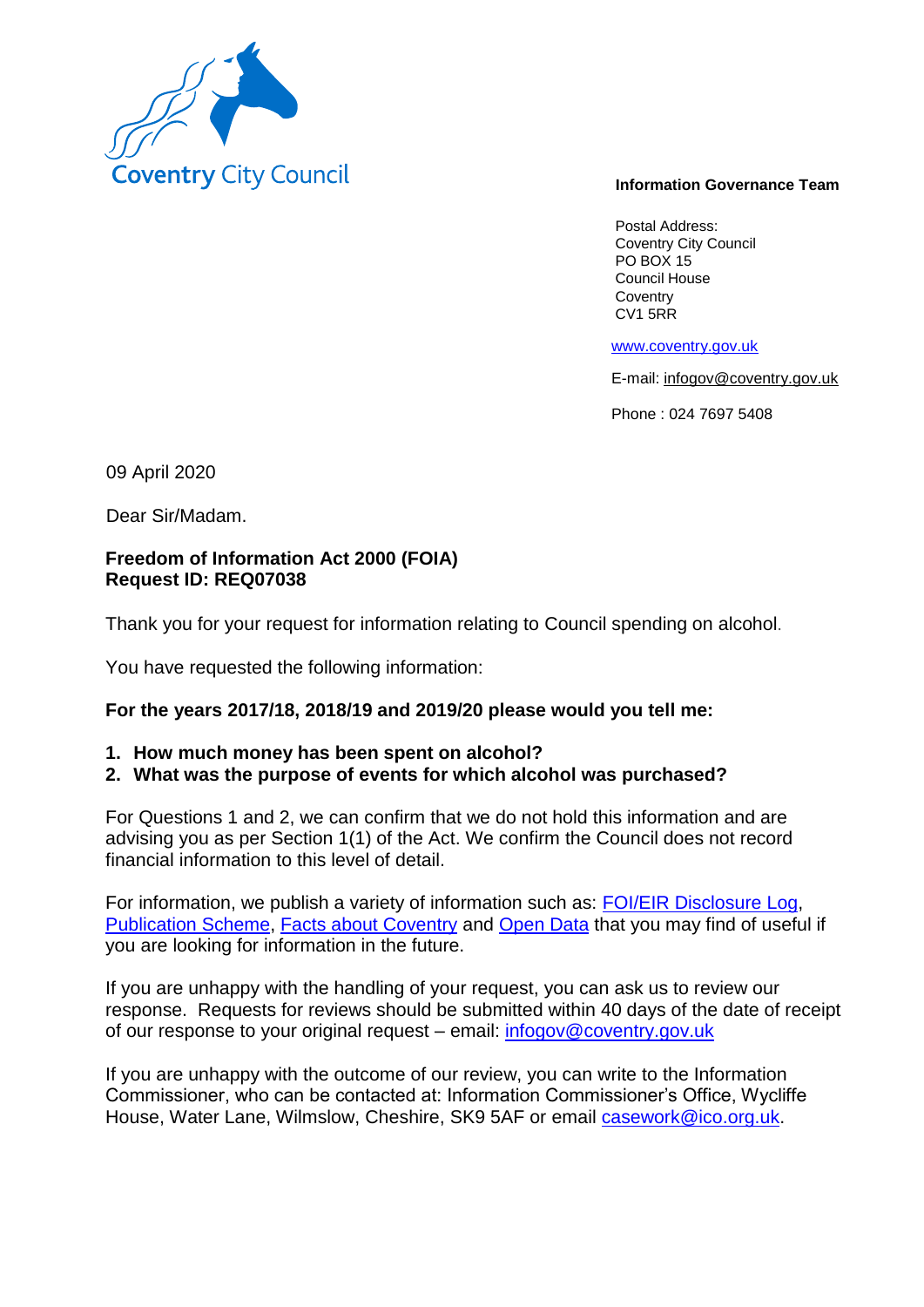

#### **Information Governance Team**

Postal Address: Coventry City Council PO BOX 15 Council House **Coventry** CV1 5RR

www.coventry.gov.uk

E-mail: infogov@coventry.gov.uk

Phone : 024 7697 5408

09 April 2020

Dear Sir/Madam.

## **Freedom of Information Act 2000 (FOIA) Request ID: REQ07038**

Thank you for your request for information relating to Council spending on alcohol.

You have requested the following information:

### **For the years 2017/18, 2018/19 and 2019/20 please would you tell me:**

**1. How much money has been spent on alcohol?**

## **2. What was the purpose of events for which alcohol was purchased?**

For Questions 1 and 2, we can confirm that we do not hold this information and are advising you as per Section 1(1) of the Act. We confirm the Council does not record financial information to this level of detail.

For information, we publish a variety of information such as: FOI/EIR Disclosure Log, Publication Scheme, Facts about Coventry and Open Data that you may find of useful if you are looking for information in the future.

If you are unhappy with the handling of your request, you can ask us to review our response. Requests for reviews should be submitted within 40 days of the date of receipt of our response to your original request – email: infogov@coventry.gov.uk

If you are unhappy with the outcome of our review, you can write to the Information Commissioner, who can be contacted at: Information Commissioner's Office, Wycliffe House, Water Lane, Wilmslow, Cheshire, SK9 5AF or email casework@ico.org.uk.